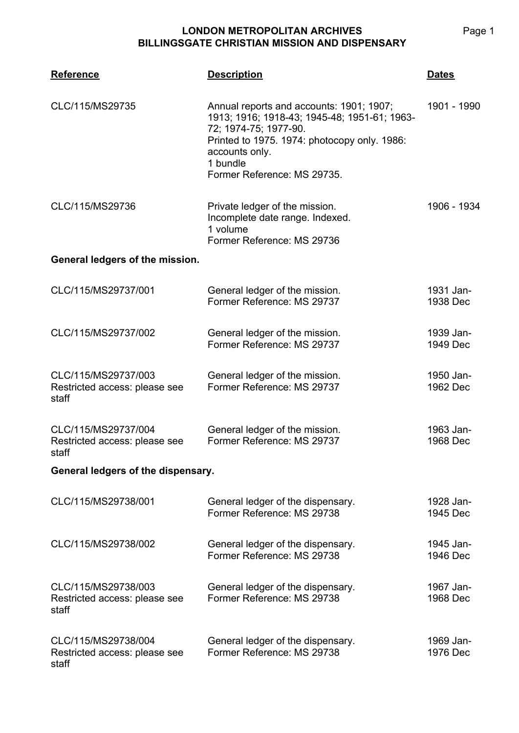## **LONDON METROPOLITAN ARCHIVES BILLINGSGATE CHRISTIAN MISSION AND DISPENSARY**

| <b>Reference</b>                                              | <b>Description</b>                                                                                                                                                                                                             | <b>Dates</b>          |  |  |
|---------------------------------------------------------------|--------------------------------------------------------------------------------------------------------------------------------------------------------------------------------------------------------------------------------|-----------------------|--|--|
| CLC/115/MS29735                                               | Annual reports and accounts: 1901; 1907;<br>1913; 1916; 1918-43; 1945-48; 1951-61; 1963-<br>72; 1974-75; 1977-90.<br>Printed to 1975. 1974: photocopy only. 1986:<br>accounts only.<br>1 bundle<br>Former Reference: MS 29735. | 1901 - 1990           |  |  |
| CLC/115/MS29736                                               | Private ledger of the mission.<br>Incomplete date range. Indexed.<br>1 volume<br>Former Reference: MS 29736                                                                                                                    | 1906 - 1934           |  |  |
| General ledgers of the mission.                               |                                                                                                                                                                                                                                |                       |  |  |
| CLC/115/MS29737/001                                           | General ledger of the mission.<br>Former Reference: MS 29737                                                                                                                                                                   | 1931 Jan-<br>1938 Dec |  |  |
| CLC/115/MS29737/002                                           | General ledger of the mission.<br>Former Reference: MS 29737                                                                                                                                                                   | 1939 Jan-<br>1949 Dec |  |  |
| CLC/115/MS29737/003<br>Restricted access: please see<br>staff | General ledger of the mission.<br>Former Reference: MS 29737                                                                                                                                                                   | 1950 Jan-<br>1962 Dec |  |  |
| CLC/115/MS29737/004<br>Restricted access: please see<br>staff | General ledger of the mission.<br>Former Reference: MS 29737                                                                                                                                                                   | 1963 Jan-<br>1968 Dec |  |  |
| General ledgers of the dispensary.                            |                                                                                                                                                                                                                                |                       |  |  |
| CLC/115/MS29738/001                                           | General ledger of the dispensary.<br>Former Reference: MS 29738                                                                                                                                                                | 1928 Jan-<br>1945 Dec |  |  |
| CLC/115/MS29738/002                                           | General ledger of the dispensary.<br>Former Reference: MS 29738                                                                                                                                                                | 1945 Jan-<br>1946 Dec |  |  |
| CLC/115/MS29738/003<br>Restricted access: please see<br>staff | General ledger of the dispensary.<br>Former Reference: MS 29738                                                                                                                                                                | 1967 Jan-<br>1968 Dec |  |  |
| CLC/115/MS29738/004<br>Restricted access: please see<br>staff | General ledger of the dispensary.<br>Former Reference: MS 29738                                                                                                                                                                | 1969 Jan-<br>1976 Dec |  |  |

Page 1